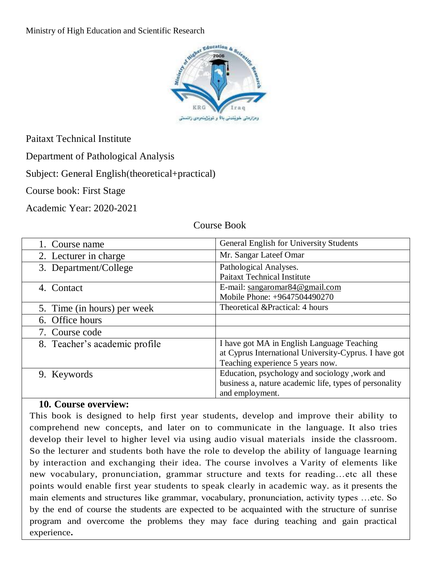Ministry of High Education and Scientific Research



Paitaxt Technical Institute

Department of Pathological Analysis

Subject: General English(theoretical+practical)

Course book: First Stage

Academic Year: 2020-2021

#### Course Book

| 1. Course name                | General English for University Students                |  |
|-------------------------------|--------------------------------------------------------|--|
| 2. Lecturer in charge         | Mr. Sangar Lateef Omar                                 |  |
| 3. Department/College         | Pathological Analyses.                                 |  |
|                               | <b>Paitaxt Technical Institute</b>                     |  |
| 4. Contact                    | E-mail: $sangaromar84@gmail.com$                       |  |
|                               | Mobile Phone: +9647504490270                           |  |
| 5. Time (in hours) per week   | Theoretical & Practical: 4 hours                       |  |
| 6. Office hours               |                                                        |  |
| 7. Course code                |                                                        |  |
| 8. Teacher's academic profile | I have got MA in English Language Teaching             |  |
|                               | at Cyprus International University-Cyprus. I have got  |  |
|                               | Teaching experience 5 years now.                       |  |
| 9. Keywords                   | Education, psychology and sociology, work and          |  |
|                               | business a, nature academic life, types of personality |  |
|                               | and employment.                                        |  |

### **10. Course overview:**

This book is designed to help first year students, develop and improve their ability to comprehend new concepts, and later on to communicate in the language. It also tries develop their level to higher level via using audio visual materials inside the classroom. So the lecturer and students both have the role to develop the ability of language learning by interaction and exchanging their idea. The course involves a Varity of elements like new vocabulary, pronunciation, grammar structure and texts for reading…etc all these points would enable first year students to speak clearly in academic way. as it presents the main elements and structures like grammar, vocabulary, pronunciation, activity types …etc. So by the end of course the students are expected to be acquainted with the structure of sunrise program and overcome the problems they may face during teaching and gain practical experience**.**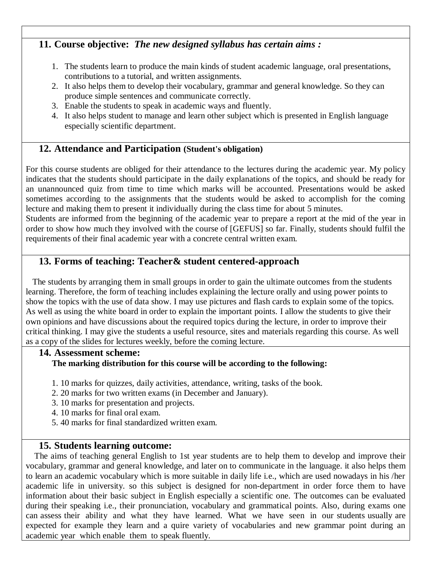### **11. Course objective:** *The new designed syllabus has certain aims :*

- 1. The students learn to produce the main kinds of student academic language, oral presentations, contributions to a tutorial, and written assignments.
- 2. It also helps them to develop their vocabulary, grammar and general knowledge. So they can produce simple sentences and communicate correctly.
- 3. Enable the students to speak in academic ways and fluently.
- 4. It also helps student to manage and learn other subject which is presented in English language especially scientific department.

### **12. Attendance and Participation (Student's obligation)**

For this course students are obliged for their attendance to the lectures during the academic year. My policy indicates that the students should participate in the daily explanations of the topics, and should be ready for an unannounced quiz from time to time which marks will be accounted. Presentations would be asked sometimes according to the assignments that the students would be asked to accomplish for the coming lecture and making them to present it individually during the class time for about 5 minutes.

Students are informed from the beginning of the academic year to prepare a report at the mid of the year in order to show how much they involved with the course of [GEFUS] so far. Finally, students should fulfil the requirements of their final academic year with a concrete central written exam.

### **13. Forms of teaching: Teacher& student centered-approach**

 The students by arranging them in small groups in order to gain the ultimate outcomes from the students learning. Therefore, the form of teaching includes explaining the lecture orally and using power points to show the topics with the use of data show. I may use pictures and flash cards to explain some of the topics. As well as using the white board in order to explain the important points. I allow the students to give their own opinions and have discussions about the required topics during the lecture, in order to improve their critical thinking. I may give the students a useful resource, sites and materials regarding this course. As well as a copy of the slides for lectures weekly, before the coming lecture.

### **14. Assessment scheme: The marking distribution for this course will be according to the following:**

- 1. 10 marks for quizzes, daily activities, attendance, writing, tasks of the book.
- 2. 20 marks for two written exams (in December and January).
- 3. 10 marks for presentation and projects.
- 4. 10 marks for final oral exam.
- 5. 40 marks for final standardized written exam.

### **15. Students learning outcome:**

 The aims of teaching general English to 1st year students are to help them to develop and improve their vocabulary, grammar and general knowledge, and later on to communicate in the language. it also helps them to learn an academic vocabulary which is more suitable in daily life i.e., which are used nowadays in his /her academic life in university. so this subject is designed for non-department in order force them to have information about their basic subject in English especially a scientific one. The outcomes can be evaluated during their speaking i.e., their pronunciation, vocabulary and grammatical points. Also, during exams one can assess their ability and what they have learned. What we have seen in our students usually are expected for example they learn and a quire variety of vocabularies and new grammar point during an academic year which enable them to speak fluently.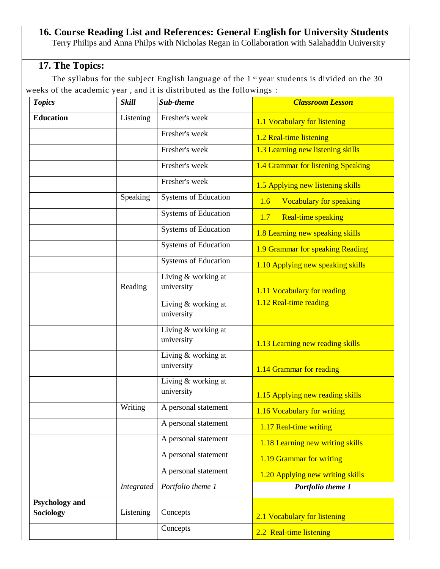#### **16. Course Reading List and References: General English for University Students** Terry Philips and Anna Philps with Nicholas Regan in Collaboration with Salahaddin University

# **17. The Topics:**

The syllabus for the subject English language of the 1<sup>st</sup> year students is divided on the 30 weeks of the academic year , and it is distributed as the followings :

| <b>Topics</b>                             | <b>Skill</b> | Sub-theme                           | <b>Classroom Lesson</b>               |
|-------------------------------------------|--------------|-------------------------------------|---------------------------------------|
| <b>Education</b>                          | Listening    | Fresher's week                      | 1.1 Vocabulary for listening          |
|                                           |              | Fresher's week                      | 1.2 Real-time listening               |
|                                           |              | Fresher's week                      | 1.3 Learning new listening skills     |
|                                           |              | Fresher's week                      | 1.4 Grammar for listening Speaking    |
|                                           |              | Fresher's week                      | 1.5 Applying new listening skills     |
|                                           | Speaking     | <b>Systems of Education</b>         | <b>Vocabulary for speaking</b><br>1.6 |
|                                           |              | <b>Systems of Education</b>         | Real-time speaking<br>1.7             |
|                                           |              | <b>Systems of Education</b>         | 1.8 Learning new speaking skills      |
|                                           |              | <b>Systems of Education</b>         | 1.9 Grammar for speaking Reading      |
|                                           |              | <b>Systems of Education</b>         | 1.10 Applying new speaking skills     |
|                                           | Reading      | Living & working at<br>university   | 1.11 Vocabulary for reading           |
|                                           |              | Living & working at<br>university   | 1.12 Real-time reading                |
|                                           |              | Living & working at<br>university   | 1.13 Learning new reading skills      |
|                                           |              | Living & working at<br>university   | 1.14 Grammar for reading              |
|                                           |              | Living $&$ working at<br>university | 1.15 Applying new reading skills      |
|                                           | Writing      | A personal statement                | 1.16 Vocabulary for writing           |
|                                           |              | A personal statement                | 1.17 Real-time writing                |
|                                           |              | A personal statement                | 1.18 Learning new writing skills      |
|                                           |              | A personal statement                | 1.19 Grammar for writing              |
|                                           |              | A personal statement                | 1.20 Applying new writing skills      |
|                                           | Integrated   | Portfolio theme 1                   | Portfolio theme 1                     |
| <b>Psychology and</b><br><b>Sociology</b> | Listening    | Concepts                            | 2.1 Vocabulary for listening          |
|                                           |              | Concepts                            | 2.2 Real-time listening               |